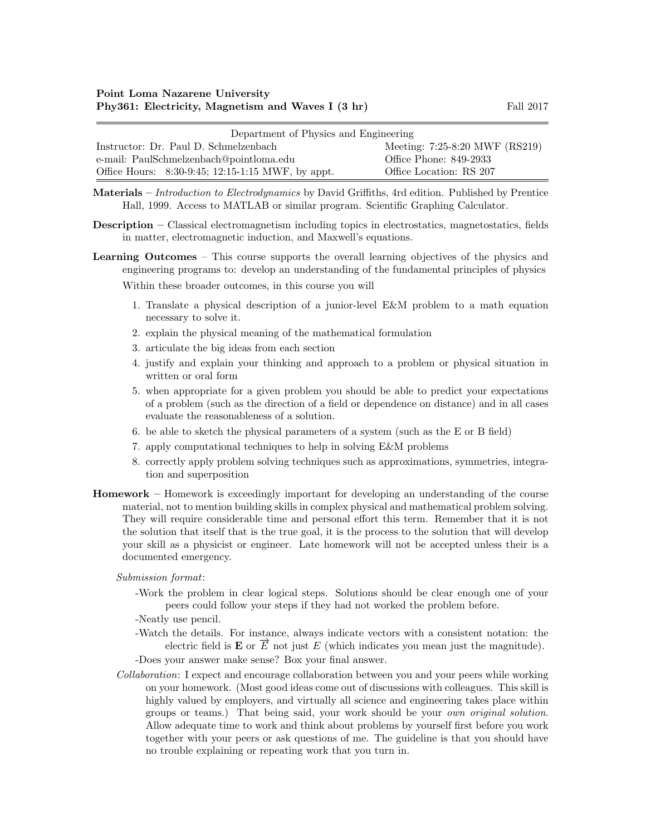| Department of Physics and Engineering             |                                |  |  |  |
|---------------------------------------------------|--------------------------------|--|--|--|
| Instructor: Dr. Paul D. Schmelzenbach             | Meeting: 7:25-8:20 MWF (RS219) |  |  |  |
| e-mail: PaulSchmelzenbach@pointloma.edu           | Office Phone: 849-2933         |  |  |  |
| Office Hours: 8:30-9:45; 12:15-1:15 MWF, by appt. | Office Location: RS 207        |  |  |  |

Materials – Introduction to Electrodynamics by David Griffiths, 4rd edition. Published by Prentice Hall, 1999. Access to MATLAB or similar program. Scientific Graphing Calculator.

- Description Classical electromagnetism including topics in electrostatics, magnetostatics, fields in matter, electromagnetic induction, and Maxwell's equations.
- Learning Outcomes This course supports the overall learning objectives of the physics and engineering programs to: develop an understanding of the fundamental principles of physics

Within these broader outcomes, in this course you will

- 1. Translate a physical description of a junior-level E&M problem to a math equation necessary to solve it.
- 2. explain the physical meaning of the mathematical formulation
- 3. articulate the big ideas from each section
- 4. justify and explain your thinking and approach to a problem or physical situation in written or oral form
- 5. when appropriate for a given problem you should be able to predict your expectations of a problem (such as the direction of a field or dependence on distance) and in all cases evaluate the reasonableness of a solution.
- 6. be able to sketch the physical parameters of a system (such as the E or B field)
- 7. apply computational techniques to help in solving E&M problems
- 8. correctly apply problem solving techniques such as approximations, symmetries, integration and superposition
- Homework Homework is exceedingly important for developing an understanding of the course material, not to mention building skills in complex physical and mathematical problem solving. They will require considerable time and personal effort this term. Remember that it is not the solution that itself that is the true goal, it is the process to the solution that will develop your skill as a physicist or engineer. Late homework will not be accepted unless their is a documented emergency.

## Submission format:

- -Work the problem in clear logical steps. Solutions should be clear enough one of your peers could follow your steps if they had not worked the problem before.
- -Neatly use pencil.
- -Watch the details. For instance, always indicate vectors with a consistent notation: the Find details. For instance, always indicate vectors with a consistent notation. The electric field is  $\mathbf{E}$  or  $\overrightarrow{E}$  not just E (which indicates you mean just the magnitude).

-Does your answer make sense? Box your final answer.

Collaboration: I expect and encourage collaboration between you and your peers while working on your homework. (Most good ideas come out of discussions with colleagues. This skill is highly valued by employers, and virtually all science and engineering takes place within groups or teams.) That being said, your work should be your own original solution. Allow adequate time to work and think about problems by yourself first before you work together with your peers or ask questions of me. The guideline is that you should have no trouble explaining or repeating work that you turn in.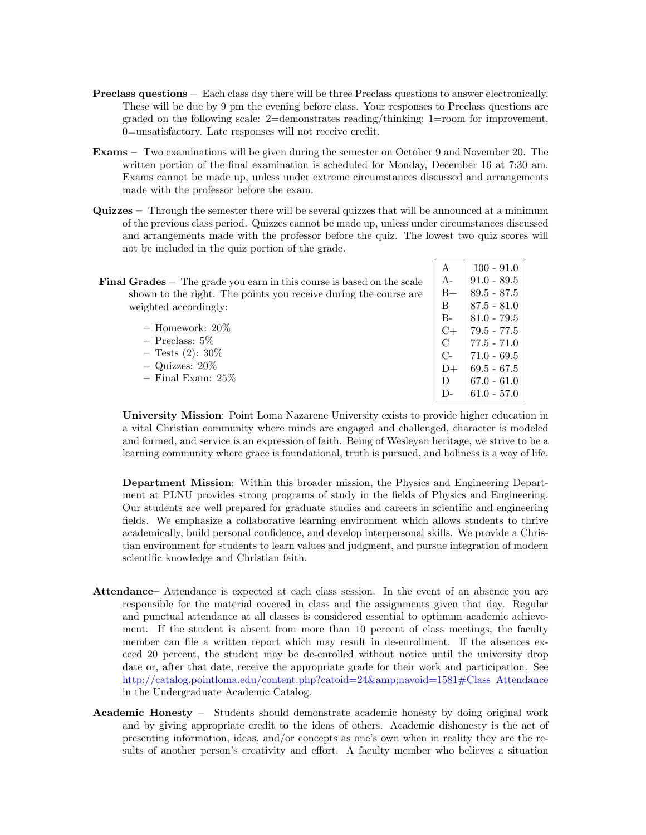- Preclass questions Each class day there will be three Preclass questions to answer electronically. These will be due by 9 pm the evening before class. Your responses to Preclass questions are graded on the following scale: 2=demonstrates reading/thinking; 1=room for improvement, 0=unsatisfactory. Late responses will not receive credit.
- Exams Two examinations will be given during the semester on October 9 and November 20. The written portion of the final examination is scheduled for Monday, December 16 at 7:30 am. Exams cannot be made up, unless under extreme circumstances discussed and arrangements made with the professor before the exam.
- Quizzes Through the semester there will be several quizzes that will be announced at a minimum of the previous class period. Quizzes cannot be made up, unless under circumstances discussed and arrangements made with the professor before the quiz. The lowest two quiz scores will not be included in the quiz portion of the grade.

| <b>Final Grades</b> $-$ The grade you earn in this course is based on the scale |  |
|---------------------------------------------------------------------------------|--|
| shown to the right. The points you receive during the course are                |  |
| weighted accordingly:                                                           |  |
|                                                                                 |  |

| $-$ Homework: $20\%$ |
|----------------------|
| $-$ Preclass: 5\%    |
| $-$ Tests (2): 30\%  |
| $-$ Quizzes: $20\%$  |

– Final Exam: 25%

A |  $100 - 91.0$ A- 91.0 - 89.5  $B+$  89.5 - 87.5  $\text{B}$  | 87.5 - 81.0  $B-$  81.0 - 79.5  $C+$  79.5 - 77.5  $\begin{array}{c|c}\n\text{C} & 77.5 & -71.0 \\
\text{C} & 71.0 & -69.5\n\end{array}$  $71.0 - 69.5$  $D+$  69.5 - 67.5 D  $\big| 67.0 - 61.0 \big|$ D-  $61.0 - 57.0$ 

University Mission: Point Loma Nazarene University exists to provide higher education in a vital Christian community where minds are engaged and challenged, character is modeled and formed, and service is an expression of faith. Being of Wesleyan heritage, we strive to be a learning community where grace is foundational, truth is pursued, and holiness is a way of life.

Department Mission: Within this broader mission, the Physics and Engineering Department at PLNU provides strong programs of study in the fields of Physics and Engineering. Our students are well prepared for graduate studies and careers in scientific and engineering fields. We emphasize a collaborative learning environment which allows students to thrive academically, build personal confidence, and develop interpersonal skills. We provide a Christian environment for students to learn values and judgment, and pursue integration of modern scientific knowledge and Christian faith.

- Attendance– Attendance is expected at each class session. In the event of an absence you are responsible for the material covered in class and the assignments given that day. Regular and punctual attendance at all classes is considered essential to optimum academic achievement. If the student is absent from more than 10 percent of class meetings, the faculty member can file a written report which may result in de-enrollment. If the absences exceed 20 percent, the student may be de-enrolled without notice until the university drop date or, after that date, receive the appropriate grade for their work and participation. See [http://catalog.pointloma.edu/content.php?catoid=24&navoid=1581#Class Attendance](http://catalog.pointloma.edu/content.php?catoid=24&navoid=1581) in the Undergraduate Academic Catalog.
- Academic Honesty Students should demonstrate academic honesty by doing original work and by giving appropriate credit to the ideas of others. Academic dishonesty is the act of presenting information, ideas, and/or concepts as one's own when in reality they are the results of another person's creativity and effort. A faculty member who believes a situation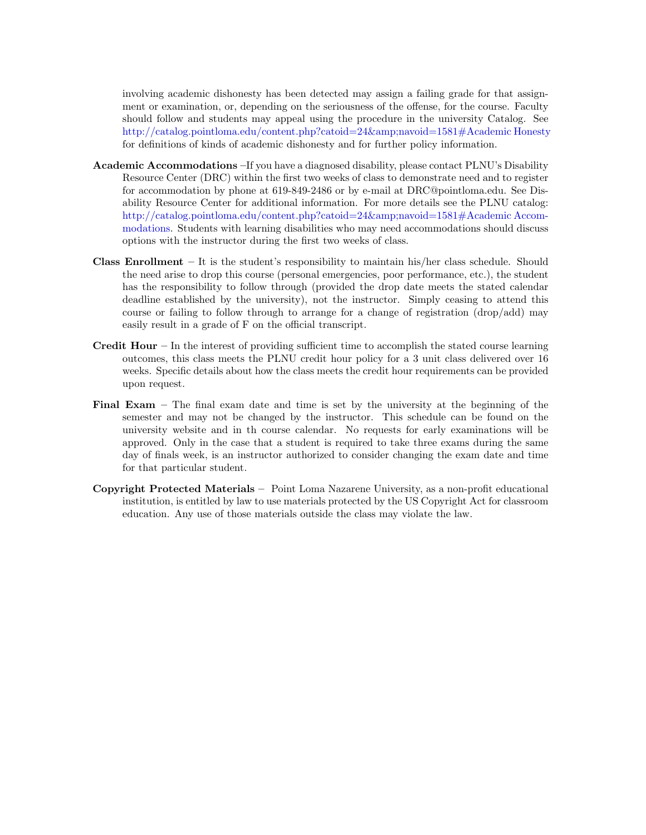involving academic dishonesty has been detected may assign a failing grade for that assignment or examination, or, depending on the seriousness of the offense, for the course. Faculty should follow and students may appeal using the procedure in the university Catalog. See [http://catalog.pointloma.edu/content.php?catoid=24&navoid=1581#Academic Honesty](http://catalog.pointloma.edu/content.php?catoid=24&navoid=1581) for definitions of kinds of academic dishonesty and for further policy information.

- Academic Accommodations –If you have a diagnosed disability, please contact PLNU's Disability Resource Center (DRC) within the first two weeks of class to demonstrate need and to register for accommodation by phone at 619-849-2486 or by e-mail at DRC@pointloma.edu. See Disability Resource Center for additional information. For more details see the PLNU catalog: http://catalog.pointloma.edu/content.php?catoid=24&amp:navoid=1581#Academic Accom[modations.](http://catalog.pointloma.edu/content.php?catoid=24&navoid=1581) Students with learning disabilities who may need accommodations should discuss options with the instructor during the first two weeks of class.
- **Class Enrollment** It is the student's responsibility to maintain his/her class schedule. Should the need arise to drop this course (personal emergencies, poor performance, etc.), the student has the responsibility to follow through (provided the drop date meets the stated calendar deadline established by the university), not the instructor. Simply ceasing to attend this course or failing to follow through to arrange for a change of registration (drop/add) may easily result in a grade of F on the official transcript.
- **Credit Hour** In the interest of providing sufficient time to accomplish the stated course learning outcomes, this class meets the PLNU credit hour policy for a 3 unit class delivered over 16 weeks. Specific details about how the class meets the credit hour requirements can be provided upon request.
- Final Exam The final exam date and time is set by the university at the beginning of the semester and may not be changed by the instructor. This schedule can be found on the university website and in th course calendar. No requests for early examinations will be approved. Only in the case that a student is required to take three exams during the same day of finals week, is an instructor authorized to consider changing the exam date and time for that particular student.
- Copyright Protected Materials Point Loma Nazarene University, as a non-profit educational institution, is entitled by law to use materials protected by the US Copyright Act for classroom education. Any use of those materials outside the class may violate the law.